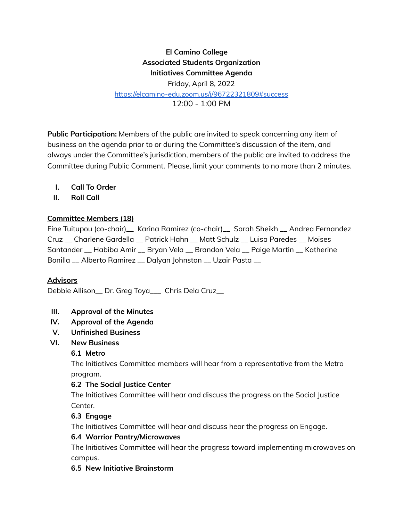# **El Camino College Associated Students Organization Initiatives Committee Agenda** Friday, April 8, 2022

<https://elcamino-edu.zoom.us/j/96722321809#success>

12:00 - 1:00 PM

**Public Participation:** Members of the public are invited to speak concerning any item of business on the agenda prior to or during the Committee's discussion of the item, and always under the Committee's jurisdiction, members of the public are invited to address the Committee during Public Comment. Please, limit your comments to no more than 2 minutes.

- **I. Call To Order**
- **II. Roll Call**

#### **Committee Members (18)**

Fine Tuitupou (co-chair)\_\_ Karina Ramirez (co-chair)\_\_ Sarah Sheikh \_\_ Andrea Fernandez Cruz \_\_ Charlene Gardella \_\_ Patrick Hahn \_\_ Matt Schulz \_\_ Luisa Paredes \_\_ Moises Santander \_\_ Habiba Amir \_\_ Bryan Vela \_\_ Brandon Vela \_\_ Paige Martin \_\_ Katherine Bonilla \_\_ Alberto Ramirez \_\_ Dalyan Johnston \_\_ Uzair Pasta \_\_

#### **Advisors**

Debbie Allison\_\_ Dr. Greg Toya\_\_\_ Chris Dela Cruz\_\_

- **III. Approval of the Minutes**
- **IV. Approval of the Agenda**
- **V. Unfinished Business**
- **VI. New Business**

#### **6.1 Metro**

The Initiatives Committee members will hear from a representative from the Metro program.

#### **6.2 The Social Justice Center**

The Initiatives Committee will hear and discuss the progress on the Social Justice Center.

### **6.3 Engage**

The Initiatives Committee will hear and discuss hear the progress on Engage.

#### **6.4 Warrior Pantry/Microwaves**

The Initiatives Committee will hear the progress toward implementing microwaves on campus.

#### **6.5 New Initiative Brainstorm**